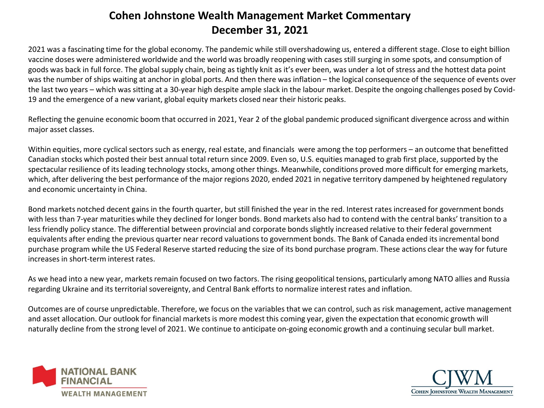## **Cohen Johnstone Wealth Management Market Commentary December 31, 2021**

2021 was a fascinating time for the global economy. The pandemic while still overshadowing us, entered a different stage. Close to eight billion vaccine doses were administered worldwide and the world was broadly reopening with cases still surging in some spots, and consumption of goods was back in full force. The global supply chain, being as tightly knit as it's ever been, was under a lot of stress and the hottest data point was the number of ships waiting at anchor in global ports. And then there was inflation – the logical consequence of the sequence of events over the last two years – which was sitting at a 30-year high despite ample slack in the labour market. Despite the ongoing challenges posed by Covid-19 and the emergence of a new variant, global equity markets closed near their historic peaks.

Reflecting the genuine economic boom that occurred in 2021, Year 2 of the global pandemic produced significant divergence across and within major asset classes.

Within equities, more cyclical sectors such as energy, real estate, and financials were among the top performers – an outcome that benefitted Canadian stocks which posted their best annual total return since 2009. Even so, U.S. equities managed to grab first place, supported by the spectacular resilience of its leading technology stocks, among other things. Meanwhile, conditions proved more difficult for emerging markets, which, after delivering the best performance of the major regions 2020, ended 2021 in negative territory dampened by heightened regulatory and economic uncertainty in China.

Bond markets notched decent gains in the fourth quarter, but still finished the year in the red. Interest rates increased for government bonds with less than 7-year maturities while they declined for longer bonds. Bond markets also had to contend with the central banks' transition to a less friendly policy stance. The differential between provincial and corporate bonds slightly increased relative to their federal government equivalents after ending the previous quarter near record valuations to government bonds. The Bank of Canada ended its incremental bond purchase program while the US Federal Reserve started reducing the size of its bond purchase program. These actions clear the way for future increases in short-term interest rates.

As we head into a new year, markets remain focused on two factors. The rising geopolitical tensions, particularly among NATO allies and Russia regarding Ukraine and its territorial sovereignty, and Central Bank efforts to normalize interest rates and inflation.

Outcomes are of course unpredictable. Therefore, we focus on the variables that we can control, such as risk management, active management and asset allocation. Our outlook for financial markets is more modest this coming year, given the expectation that economic growth will naturally decline from the strong level of 2021. We continue to anticipate on-going economic growth and a continuing secular bull market.